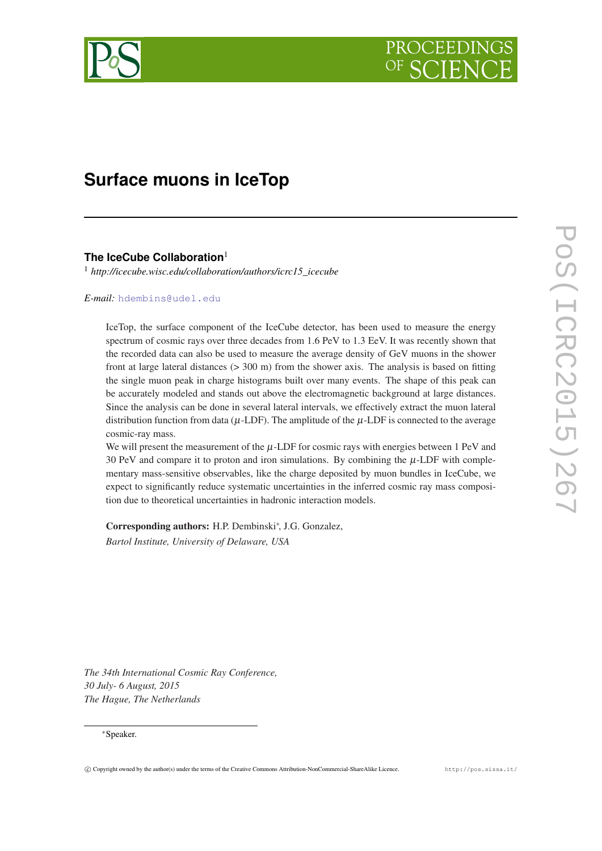

# **Surface muons in IceTop**

**The IceCube Collaboration**<sup>1</sup>

<sup>1</sup> *http://icecube.wisc.edu/collaboration/authors/icrc15\_icecube*

*E-mail:* [hdembins@udel.edu](mailto:hdembins@udel.edu)

IceTop, the surface component of the IceCube detector, has been used to measure the energy spectrum of cosmic rays over three decades from 1.6 PeV to 1.3 EeV. It was recently shown that the recorded data can also be used to measure the average density of GeV muons in the shower front at large lateral distances (> 300 m) from the shower axis. The analysis is based on fitting the single muon peak in charge histograms built over many events. The shape of this peak can be accurately modeled and stands out above the electromagnetic background at large distances. Since the analysis can be done in several lateral intervals, we effectively extract the muon lateral distribution function from data ( $\mu$ -LDF). The amplitude of the  $\mu$ -LDF is connected to the average cosmic-ray mass.

We will present the measurement of the  $\mu$ -LDF for cosmic rays with energies between 1 PeV and  $30$  PeV and compare it to proton and iron simulations. By combining the  $\mu$ -LDF with complementary mass-sensitive observables, like the charge deposited by muon bundles in IceCube, we expect to significantly reduce systematic uncertainties in the inferred cosmic ray mass composition due to theoretical uncertainties in hadronic interaction models.

Corresponding authors: H.P. Dembinski∗ , J.G. Gonzalez, *Bartol Institute, University of Delaware, USA*

*The 34th International Cosmic Ray Conference, 30 July- 6 August, 2015 The Hague, The Netherlands*

## ∗Speaker.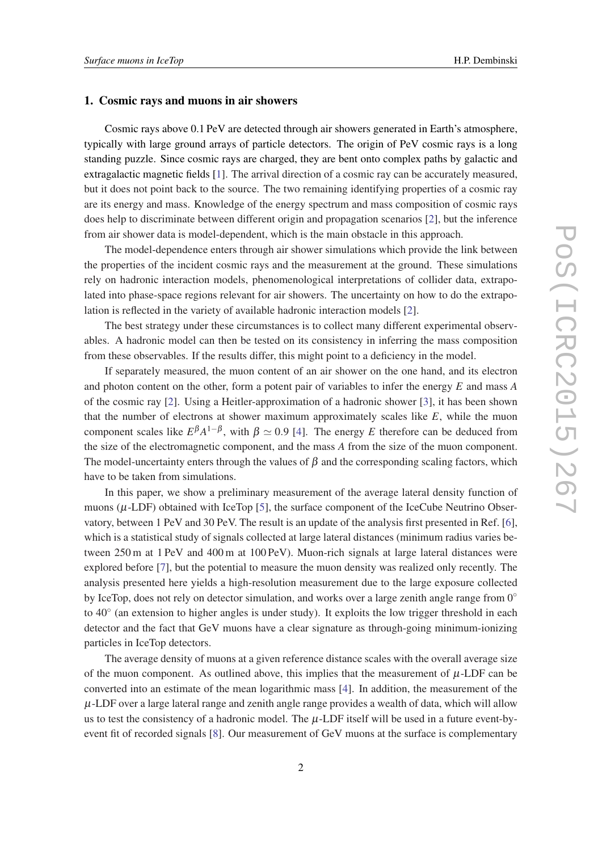#### 1. Cosmic rays and muons in air showers

Cosmic rays above 0.1 PeV are detected through air showers generated in Earth's atmosphere, typically with large ground arrays of particle detectors. The origin of PeV cosmic rays is a long standing puzzle. Since cosmic rays are charged, they are bent onto complex paths by galactic and extragalactic magnetic fields [[1](#page-7-0)]. The arrival direction of a cosmic ray can be accurately measured, but it does not point back to the source. The two remaining identifying properties of a cosmic ray are its energy and mass. Knowledge of the energy spectrum and mass composition of cosmic rays does help to discriminate between different origin and propagation scenarios [\[2\]](#page-7-0), but the inference from air shower data is model-dependent, which is the main obstacle in this approach.

The model-dependence enters through air shower simulations which provide the link between the properties of the incident cosmic rays and the measurement at the ground. These simulations rely on hadronic interaction models, phenomenological interpretations of collider data, extrapolated into phase-space regions relevant for air showers. The uncertainty on how to do the extrapolation is reflected in the variety of available hadronic interaction models [[2](#page-7-0)].

The best strategy under these circumstances is to collect many different experimental observables. A hadronic model can then be tested on its consistency in inferring the mass composition from these observables. If the results differ, this might point to a deficiency in the model.

If separately measured, the muon content of an air shower on the one hand, and its electron and photon content on the other, form a potent pair of variables to infer the energy *E* and mass *A* of the cosmic ray [\[2\]](#page-7-0). Using a Heitler-approximation of a hadronic shower [[3](#page-7-0)], it has been shown that the number of electrons at shower maximum approximately scales like *E*, while the muon component scales like  $E^{\beta}A^{1-\beta}$ , with  $\beta \simeq 0.9$  [\[4](#page-7-0)]. The energy *E* therefore can be deduced from the size of the electromagnetic component, and the mass *A* from the size of the muon component. The model-uncertainty enters through the values of  $\beta$  and the corresponding scaling factors, which have to be taken from simulations.

In this paper, we show a preliminary measurement of the average lateral density function of muons (µ-LDF) obtained with IceTop [[5](#page-7-0)], the surface component of the IceCube Neutrino Observatory, between 1 PeV and 30 PeV. The result is an update of the analysis first presented in Ref. [\[6\]](#page-7-0), which is a statistical study of signals collected at large lateral distances (minimum radius varies between 250 m at 1 PeV and 400 m at 100 PeV). Muon-rich signals at large lateral distances were explored before [\[7\]](#page-7-0), but the potential to measure the muon density was realized only recently. The analysis presented here yields a high-resolution measurement due to the large exposure collected by IceTop, does not rely on detector simulation, and works over a large zenith angle range from  $0^\circ$ to 40◦ (an extension to higher angles is under study). It exploits the low trigger threshold in each detector and the fact that GeV muons have a clear signature as through-going minimum-ionizing particles in IceTop detectors.

The average density of muons at a given reference distance scales with the overall average size of the muon component. As outlined above, this implies that the measurement of  $\mu$ -LDF can be converted into an estimate of the mean logarithmic mass [[4](#page-7-0)]. In addition, the measurement of the  $\mu$ -LDF over a large lateral range and zenith angle range provides a wealth of data, which will allow us to test the consistency of a hadronic model. The  $\mu$ -LDF itself will be used in a future event-byevent fit of recorded signals [\[8\]](#page-7-0). Our measurement of GeV muons at the surface is complementary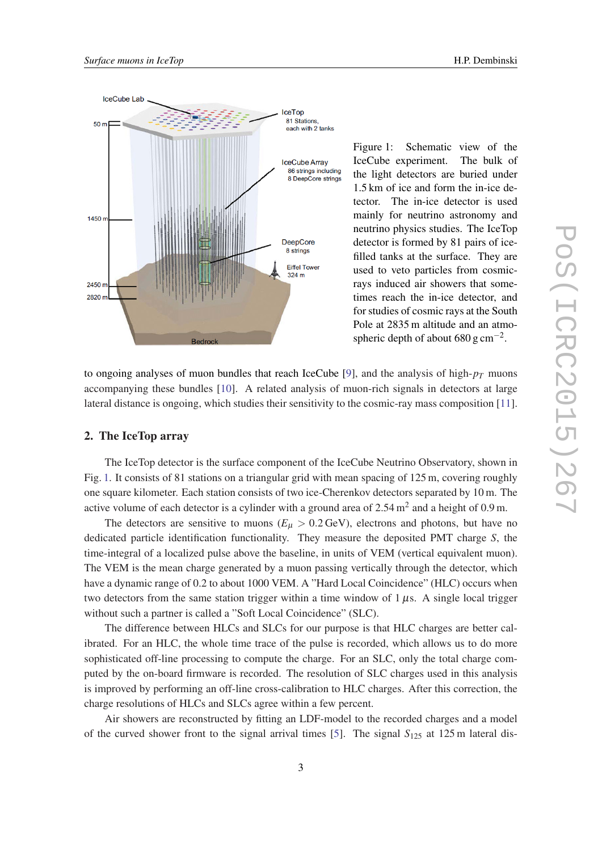

Figure 1: Schematic view of the IceCube experiment. The bulk of the light detectors are buried under 1.5 km of ice and form the in-ice detector. The in-ice detector is used mainly for neutrino astronomy and neutrino physics studies. The IceTop detector is formed by 81 pairs of icefilled tanks at the surface. They are used to veto particles from cosmicrays induced air showers that sometimes reach the in-ice detector, and for studies of cosmic rays at the South Pole at 2835 m altitude and an atmospheric depth of about  $680 \text{ g cm}^{-2}$ .

to ongoing analyses of muon bundles that reach IceCube [\[9\]](#page-7-0), and the analysis of high-*p<sup>T</sup>* muons accompanying these bundles [\[10](#page-7-0)]. A related analysis of muon-rich signals in detectors at large lateral distance is ongoing, which studies their sensitivity to the cosmic-ray mass composition [[11\]](#page-7-0).

## 2. The IceTop array

The IceTop detector is the surface component of the IceCube Neutrino Observatory, shown in Fig. 1. It consists of 81 stations on a triangular grid with mean spacing of 125 m, covering roughly one square kilometer. Each station consists of two ice-Cherenkov detectors separated by 10 m. The active volume of each detector is a cylinder with a ground area of  $2.54 \text{ m}^2$  and a height of 0.9 m.

The detectors are sensitive to muons ( $E<sub>\mu</sub> > 0.2$  GeV), electrons and photons, but have no dedicated particle identification functionality. They measure the deposited PMT charge *S*, the time-integral of a localized pulse above the baseline, in units of VEM (vertical equivalent muon). The VEM is the mean charge generated by a muon passing vertically through the detector, which have a dynamic range of 0.2 to about 1000 VEM. A "Hard Local Coincidence" (HLC) occurs when two detectors from the same station trigger within a time window of  $1 \mu s$ . A single local trigger without such a partner is called a "Soft Local Coincidence" (SLC).

The difference between HLCs and SLCs for our purpose is that HLC charges are better calibrated. For an HLC, the whole time trace of the pulse is recorded, which allows us to do more sophisticated off-line processing to compute the charge. For an SLC, only the total charge computed by the on-board firmware is recorded. The resolution of SLC charges used in this analysis is improved by performing an off-line cross-calibration to HLC charges. After this correction, the charge resolutions of HLCs and SLCs agree within a few percent.

Air showers are reconstructed by fitting an LDF-model to the recorded charges and a model of the curved shower front to the signal arrival times [\[5\]](#page-7-0). The signal  $S<sub>125</sub>$  at 125 m lateral dis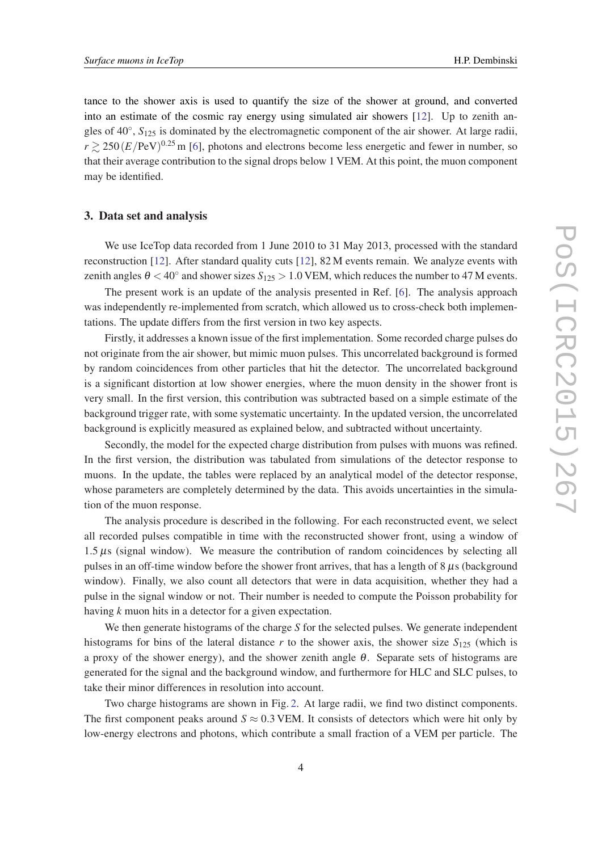tance to the shower axis is used to quantify the size of the shower at ground, and converted into an estimate of the cosmic ray energy using simulated air showers [[12](#page-7-0)]. Up to zenith angles of 40◦ , *S*<sup>125</sup> is dominated by the electromagnetic component of the air shower. At large radii,  $r \gtrsim 250 (E/PeV)^{0.25}$  m [[6](#page-7-0)], photons and electrons become less energetic and fewer in number, so that their average contribution to the signal drops below 1 VEM. At this point, the muon component may be identified.

# 3. Data set and analysis

We use IceTop data recorded from 1 June 2010 to 31 May 2013, processed with the standard reconstruction [\[12](#page-7-0)]. After standard quality cuts [\[12](#page-7-0)], 82 M events remain. We analyze events with zenith angles  $\theta < 40^{\circ}$  and shower sizes  $S_{125} > 1.0$  VEM, which reduces the number to 47 M events.

The present work is an update of the analysis presented in Ref. [[6](#page-7-0)]. The analysis approach was independently re-implemented from scratch, which allowed us to cross-check both implementations. The update differs from the first version in two key aspects.

Firstly, it addresses a known issue of the first implementation. Some recorded charge pulses do not originate from the air shower, but mimic muon pulses. This uncorrelated background is formed by random coincidences from other particles that hit the detector. The uncorrelated background is a significant distortion at low shower energies, where the muon density in the shower front is very small. In the first version, this contribution was subtracted based on a simple estimate of the background trigger rate, with some systematic uncertainty. In the updated version, the uncorrelated background is explicitly measured as explained below, and subtracted without uncertainty.

Secondly, the model for the expected charge distribution from pulses with muons was refined. In the first version, the distribution was tabulated from simulations of the detector response to muons. In the update, the tables were replaced by an analytical model of the detector response, whose parameters are completely determined by the data. This avoids uncertainties in the simulation of the muon response.

The analysis procedure is described in the following. For each reconstructed event, we select all recorded pulses compatible in time with the reconstructed shower front, using a window of  $1.5 \,\mu s$  (signal window). We measure the contribution of random coincidences by selecting all pulses in an off-time window before the shower front arrives, that has a length of  $8 \mu s$  (background window). Finally, we also count all detectors that were in data acquisition, whether they had a pulse in the signal window or not. Their number is needed to compute the Poisson probability for having *k* muon hits in a detector for a given expectation.

We then generate histograms of the charge *S* for the selected pulses. We generate independent histograms for bins of the lateral distance  $r$  to the shower axis, the shower size  $S_{125}$  (which is a proxy of the shower energy), and the shower zenith angle  $\theta$ . Separate sets of histograms are generated for the signal and the background window, and furthermore for HLC and SLC pulses, to take their minor differences in resolution into account.

Two charge histograms are shown in Fig. [2](#page-4-0). At large radii, we find two distinct components. The first component peaks around  $S \approx 0.3$  VEM. It consists of detectors which were hit only by low-energy electrons and photons, which contribute a small fraction of a VEM per particle. The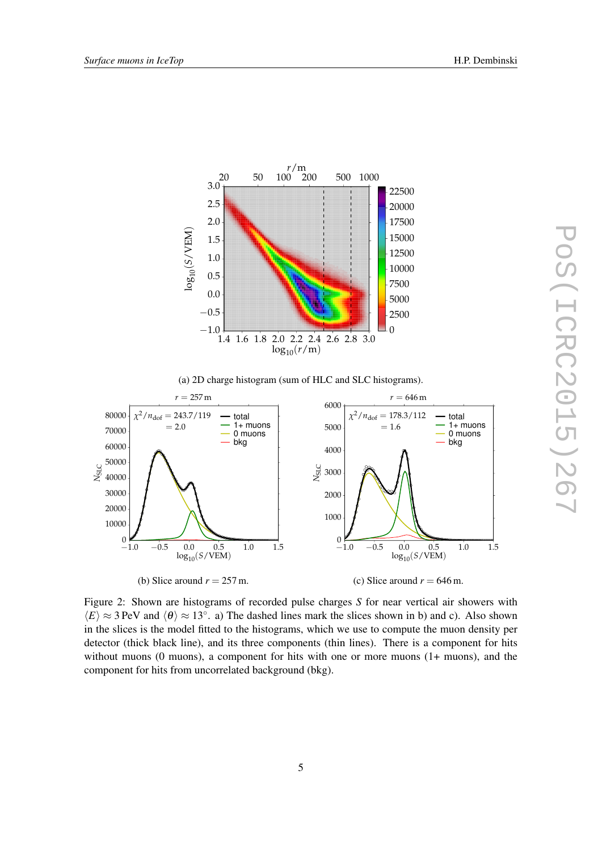<span id="page-4-0"></span>

(a) 2D charge histogram (sum of HLC and SLC histograms).



Figure 2: Shown are histograms of recorded pulse charges *S* for near vertical air showers with  $\langle E \rangle \approx 3$  PeV and  $\langle \theta \rangle \approx 13^\circ$ . a) The dashed lines mark the slices shown in b) and c). Also shown in the slices is the model fitted to the histograms, which we use to compute the muon density per detector (thick black line), and its three components (thin lines). There is a component for hits without muons (0 muons), a component for hits with one or more muons (1+ muons), and the component for hits from uncorrelated background (bkg).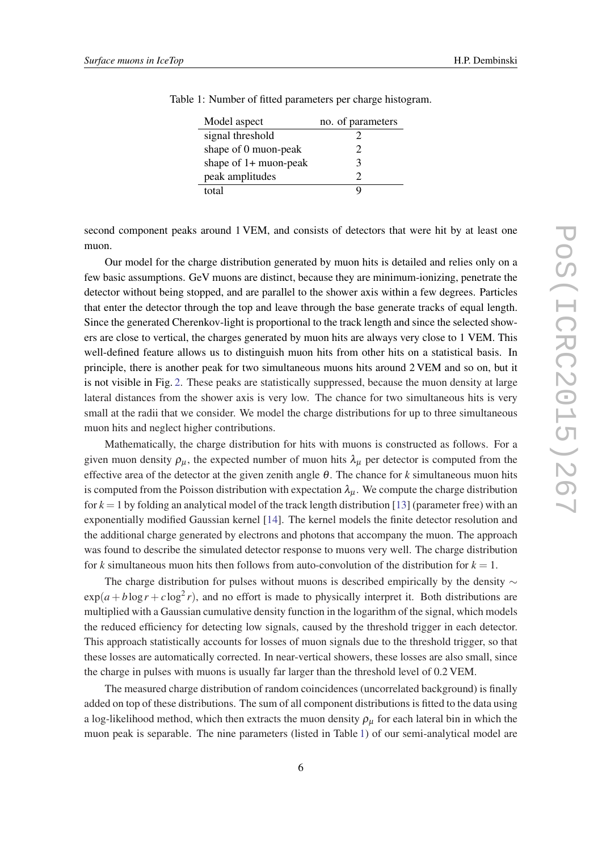| Model aspect            | no. of parameters |
|-------------------------|-------------------|
| signal threshold        |                   |
| shape of 0 muon-peak    | 7                 |
| shape of $1+$ muon-peak | з                 |
| peak amplitudes         |                   |
| total                   |                   |

Table 1: Number of fitted parameters per charge histogram.

second component peaks around 1 VEM, and consists of detectors that were hit by at least one muon.

Our model for the charge distribution generated by muon hits is detailed and relies only on a few basic assumptions. GeV muons are distinct, because they are minimum-ionizing, penetrate the detector without being stopped, and are parallel to the shower axis within a few degrees. Particles that enter the detector through the top and leave through the base generate tracks of equal length. Since the generated Cherenkov-light is proportional to the track length and since the selected showers are close to vertical, the charges generated by muon hits are always very close to 1 VEM. This well-defined feature allows us to distinguish muon hits from other hits on a statistical basis. In principle, there is another peak for two simultaneous muons hits around 2 VEM and so on, but it is not visible in Fig. [2](#page-4-0). These peaks are statistically suppressed, because the muon density at large lateral distances from the shower axis is very low. The chance for two simultaneous hits is very small at the radii that we consider. We model the charge distributions for up to three simultaneous muon hits and neglect higher contributions.

Mathematically, the charge distribution for hits with muons is constructed as follows. For a given muon density  $\rho_{\mu}$ , the expected number of muon hits  $\lambda_{\mu}$  per detector is computed from the effective area of the detector at the given zenith angle  $\theta$ . The chance for *k* simultaneous muon hits is computed from the Poisson distribution with expectation  $\lambda_{\mu}$ . We compute the charge distribution for  $k = 1$  by folding an analytical model of the track length distribution [\[13](#page-7-0)] (parameter free) with an exponentially modified Gaussian kernel [[14\]](#page-7-0). The kernel models the finite detector resolution and the additional charge generated by electrons and photons that accompany the muon. The approach was found to describe the simulated detector response to muons very well. The charge distribution for *k* simultaneous muon hits then follows from auto-convolution of the distribution for  $k = 1$ .

The charge distribution for pulses without muons is described empirically by the density  $\sim$  $\exp(a + b \log r + c \log^2 r)$ , and no effort is made to physically interpret it. Both distributions are multiplied with a Gaussian cumulative density function in the logarithm of the signal, which models the reduced efficiency for detecting low signals, caused by the threshold trigger in each detector. This approach statistically accounts for losses of muon signals due to the threshold trigger, so that these losses are automatically corrected. In near-vertical showers, these losses are also small, since the charge in pulses with muons is usually far larger than the threshold level of 0.2 VEM.

The measured charge distribution of random coincidences (uncorrelated background) is finally added on top of these distributions. The sum of all component distributions is fitted to the data using a log-likelihood method, which then extracts the muon density  $\rho_u$  for each lateral bin in which the muon peak is separable. The nine parameters (listed in Table 1) of our semi-analytical model are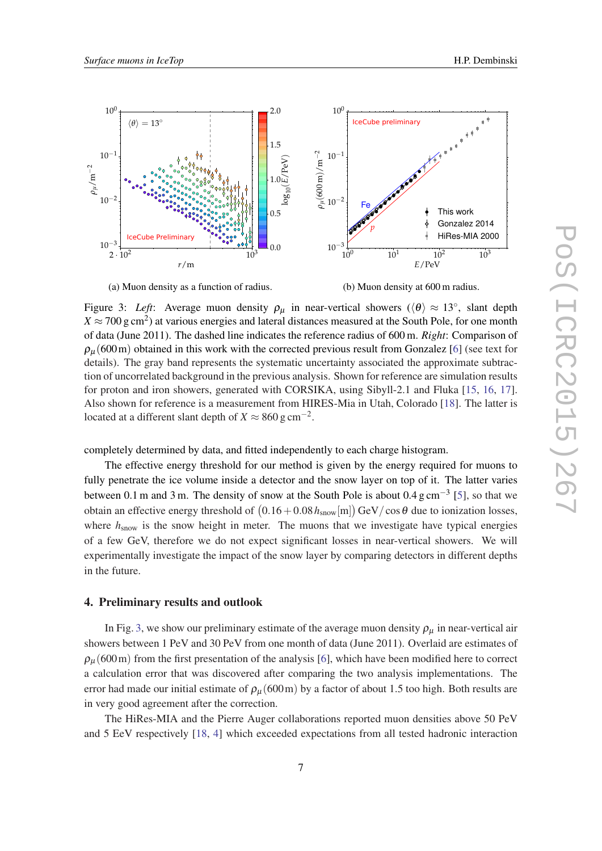<span id="page-6-0"></span>

(a) Muon density as a function of radius.

(b) Muon density at 600 m radius.

Figure 3: *Left*: Average muon density  $\rho_{\mu}$  in near-vertical showers ( $\langle \theta \rangle \approx 13^{\circ}$ , slant depth  $X \approx 700 \text{ g cm}^2$ ) at various energies and lateral distances measured at the South Pole, for one month of data (June 2011). The dashed line indicates the reference radius of 600 m. *Right*: Comparison of  $\rho_{\mu}$  (600 m) obtained in this work with the corrected previous result from Gonzalez [\[6\]](#page-7-0) (see text for details). The gray band represents the systematic uncertainty associated the approximate subtraction of uncorrelated background in the previous analysis. Shown for reference are simulation results for proton and iron showers, generated with CORSIKA, using Sibyll-2.1 and Fluka [[15,](#page-7-0) [16,](#page-7-0) [17\]](#page-7-0). Also shown for reference is a measurement from HIRES-Mia in Utah, Colorado [\[18](#page-7-0)]. The latter is located at a different slant depth of  $X \approx 860 \text{ g cm}^{-2}$ .

completely determined by data, and fitted independently to each charge histogram.

The effective energy threshold for our method is given by the energy required for muons to fully penetrate the ice volume inside a detector and the snow layer on top of it. The latter varies between 0.1 m and 3 m. The density of snow at the South Pole is about 0.4  $\text{g cm}^{-3}$  [\[5\]](#page-7-0), so that we obtain an effective energy threshold of  $(0.16+0.08\,h_{\rm snow}[{\rm m}])\,{\rm GeV}/\cos\theta$  due to ionization losses, where  $h_{\text{snow}}$  is the snow height in meter. The muons that we investigate have typical energies of a few GeV, therefore we do not expect significant losses in near-vertical showers. We will experimentally investigate the impact of the snow layer by comparing detectors in different depths in the future.

# 4. Preliminary results and outlook

In Fig. 3, we show our preliminary estimate of the average muon density  $\rho_{\mu}$  in near-vertical air showers between 1 PeV and 30 PeV from one month of data (June 2011). Overlaid are estimates of  $\rho_{\mu}$  (600 m) from the first presentation of the analysis [\[6\]](#page-7-0), which have been modified here to correct a calculation error that was discovered after comparing the two analysis implementations. The error had made our initial estimate of  $\rho_{\mu}$  (600m) by a factor of about 1.5 too high. Both results are in very good agreement after the correction.

The HiRes-MIA and the Pierre Auger collaborations reported muon densities above 50 PeV and 5 EeV respectively [[18,](#page-7-0) [4](#page-7-0)] which exceeded expectations from all tested hadronic interaction